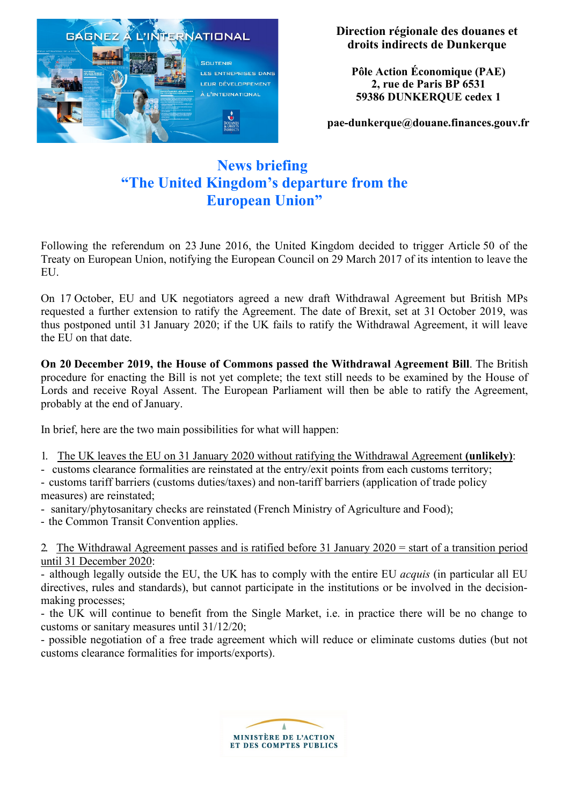

**Direction régionale des douanes et droits indirects de Dunkerque**

**Pôle Action Économique (PAE) 2, rue de Paris BP 6531 59386 DUNKERQUE cedex 1**

**[pae-dunkerque@douane.finances.gouv.fr](mailto:pae-dunkerque@douane.finances.gouv.fr)**

# **News briefing "The United Kingdom's departure from the European Union"**

Following the referendum on 23 June 2016, the United Kingdom decided to trigger Article 50 of the Treaty on European Union, notifying the European Council on 29 March 2017 of its intention to leave the EU.

On 17 October, EU and UK negotiators agreed a new draft Withdrawal Agreement but British MPs requested a further extension to ratify the Agreement. The date of Brexit, set at 31 October 2019, was thus postponed until 31 January 2020; if the UK fails to ratify the Withdrawal Agreement, it will leave the EU on that date.

**On 20 December 2019, the House of Commons passed the Withdrawal Agreement Bill**. The British procedure for enacting the Bill is not yet complete; the text still needs to be examined by the House of Lords and receive Royal Assent. The European Parliament will then be able to ratify the Agreement, probably at the end of January.

In brief, here are the two main possibilities for what will happen:

- 1. The UK leaves the EU on 31 January 2020 without ratifying the Withdrawal Agreement **(unlikely)**:
- customs clearance formalities are reinstated at the entry/exit points from each customs territory;
- customs tariff barriers (customs duties/taxes) and non-tariff barriers (application of trade policy measures) are reinstated;
- sanitary/phytosanitary checks are reinstated (French Ministry of Agriculture and Food);
- the Common Transit Convention applies.

2. The Withdrawal Agreement passes and is ratified before 31 January 2020 = start of a transition period until 31 December 2020:

- although legally outside the EU, the UK has to comply with the entire EU *acquis* (in particular all EU directives, rules and standards), but cannot participate in the institutions or be involved in the decisionmaking processes;

- the UK will continue to benefit from the Single Market, i.e. in practice there will be no change to customs or sanitary measures until 31/12/20;

- possible negotiation of a free trade agreement which will reduce or eliminate customs duties (but not customs clearance formalities for imports/exports).